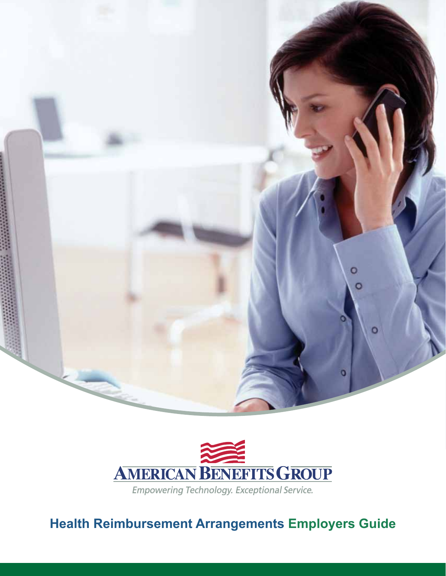



**Health Reimbursement Arrangements Employers Guide**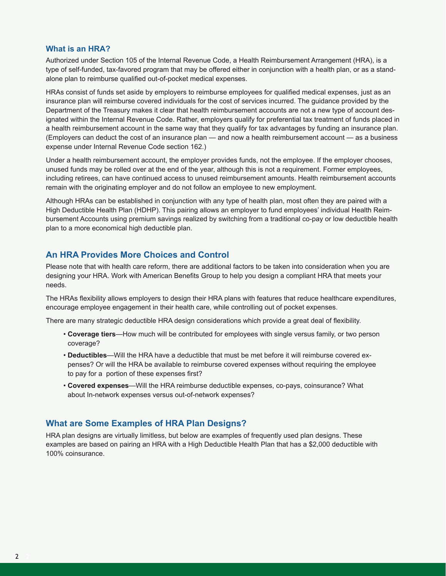#### **What is an HRA?**

Authorized under Section 105 of the Internal Revenue Code, a Health Reimbursement Arrangement (HRA), is a type of self-funded, tax-favored program that may be offered either in conjunction with a health plan, or as a standalone plan to reimburse qualified out-of-pocket medical expenses.

HRAs consist of funds set aside by employers to reimburse employees for qualified medical expenses, just as an insurance plan will reimburse covered individuals for the cost of services incurred. The guidance provided by the Department of the Treasury makes it clear that health reimbursement accounts are not a new type of account designated within the Internal Revenue Code. Rather, employers qualify for preferential tax treatment of funds placed in a health reimbursement account in the same way that they qualify for tax advantages by funding an insurance plan. (Employers can deduct the cost of an insurance plan — and now a health reimbursement account — as a business expense under Internal Revenue Code section 162.)

Under a health reimbursement account, the employer provides funds, not the employee. If the employer chooses, unused funds may be rolled over at the end of the year, although this is not a requirement. Former employees, including retirees, can have continued access to unused reimbursement amounts. Health reimbursement accounts remain with the originating employer and do not follow an employee to new employment.

Although HRAs can be established in conjunction with any type of health plan, most often they are paired with a High Deductible Health Plan (HDHP). This pairing allows an employer to fund employees' individual Health Reimbursement Accounts using premium savings realized by switching from a traditional co-pay or low deductible health plan to a more economical high deductible plan.

### **An HRA Provides More Choices and Control**

Please note that with health care reform, there are additional factors to be taken into consideration when you are designing your HRA. Work with American Benefits Group to help you design a compliant HRA that meets your needs.

The HRAs flexibility allows employers to design their HRA plans with features that reduce healthcare expenditures, encourage employee engagement in their health care, while controlling out of pocket expenses.

There are many strategic deductible HRA design considerations which provide a great deal of flexibility.

- **Coverage tiers**—How much will be contributed for employees with single versus family, or two person coverage?
- **Deductibles**—Will the HRA have a deductible that must be met before it will reimburse covered expenses? Or will the HRA be available to reimburse covered expenses without requiring the employee to pay for a portion of these expenses first?
- **Covered expenses**—Will the HRA reimburse deductible expenses, co-pays, coinsurance? What about In-network expenses versus out-of-network expenses?

### **What are Some Examples of HRA Plan Designs?**

HRA plan designs are virtually limitless, but below are examples of frequently used plan designs. These examples are based on pairing an HRA with a High Deductible Health Plan that has a \$2,000 deductible with 100% coinsurance.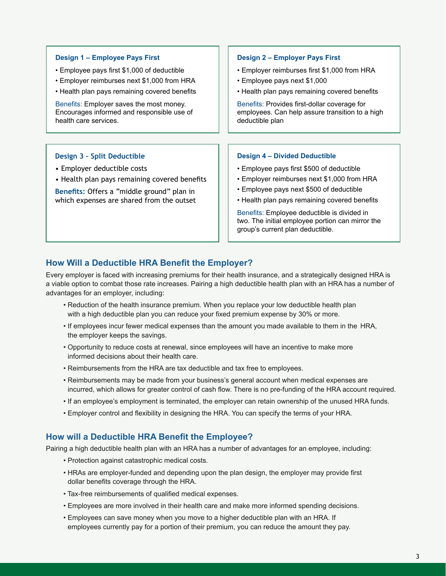| Design 1 - Employee Pays First                                                                                                                                                                         | Design 2 - Employer Pays First                                                                                                                                                                                                                                                                                                                                       |
|--------------------------------------------------------------------------------------------------------------------------------------------------------------------------------------------------------|----------------------------------------------------------------------------------------------------------------------------------------------------------------------------------------------------------------------------------------------------------------------------------------------------------------------------------------------------------------------|
| • Employee pays first \$1,000 of deductible                                                                                                                                                            | • Employer reimburses first \$1,000 from HRA                                                                                                                                                                                                                                                                                                                         |
| • Employer reimburses next \$1,000 from HRA                                                                                                                                                            | • Employee pays next \$1,000                                                                                                                                                                                                                                                                                                                                         |
| • Health plan pays remaining covered benefits                                                                                                                                                          | • Health plan pays remaining covered benefits                                                                                                                                                                                                                                                                                                                        |
| Benefits: Employer saves the most money.                                                                                                                                                               | Benefits: Provides first-dollar coverage for                                                                                                                                                                                                                                                                                                                         |
| Encourages informed and responsible use of                                                                                                                                                             | employees. Can help assure transition to a high                                                                                                                                                                                                                                                                                                                      |
| health care services.                                                                                                                                                                                  | deductible plan                                                                                                                                                                                                                                                                                                                                                      |
| Design 3 - Split Deductible<br>• Employer deductible costs<br>• Health plan pays remaining covered benefits<br>Benefits: Offers a "middle ground" plan in<br>which expenses are shared from the outset | <b>Design 4 - Divided Deductible</b><br>• Employee pays first \$500 of deductible<br>• Employer reimburses next \$1,000 from HRA<br>• Employee pays next \$500 of deductible<br>• Health plan pays remaining covered benefits<br>Benefits: Employee deductible is divided in<br>two. The initial employee portion can mirror the<br>group's current plan deductible. |

# **How Will a Deductible HRA Benefit the Employer?**

Every employer is faced with increasing premiums for their health insurance, and a strategically designed HRA is a viable option to combat those rate increases. Pairing a high deductible health plan with an HRA has a number of advantages for an employer, including:

- Reduction of the health insurance premium. When you replace your low deductible health plan with a high deductible plan you can reduce your fixed premium expense by 30% or more.
- If employees incur fewer medical expenses than the amount you made available to them in the HRA, the employer keeps the savings.
- Opportunity to reduce costs at renewal, since employees will have an incentive to make more informed decisions about their health care.
- Reimbursements from the HRA are tax deductible and tax free to employees.
- Reimbursements may be made from your business's general account when medical expenses are incurred, which allows for greater control of cash flow. There is no pre-funding of the HRA account required.
- If an employee's employment is terminated, the employer can retain ownership of the unused HRA funds.
- Employer control and flexibility in designing the HRA. You can specify the terms of your HRA.

## **How will a Deductible HRA Benefit the Employee?**

Pairing a high deductible health plan with an HRA has a number of advantages for an employee, including:

- Protection against catastrophic medical costs.
- HRAs are employer-funded and depending upon the plan design, the employer may provide first dollar benefits coverage through the HRA.
- Tax-free reimbursements of qualified medical expenses.
- Employees are more involved in their health care and make more informed spending decisions.
- Employees can save money when you move to a higher deductible plan with an HRA. If employees currently pay for a portion of their premium, you can reduce the amount they pay.